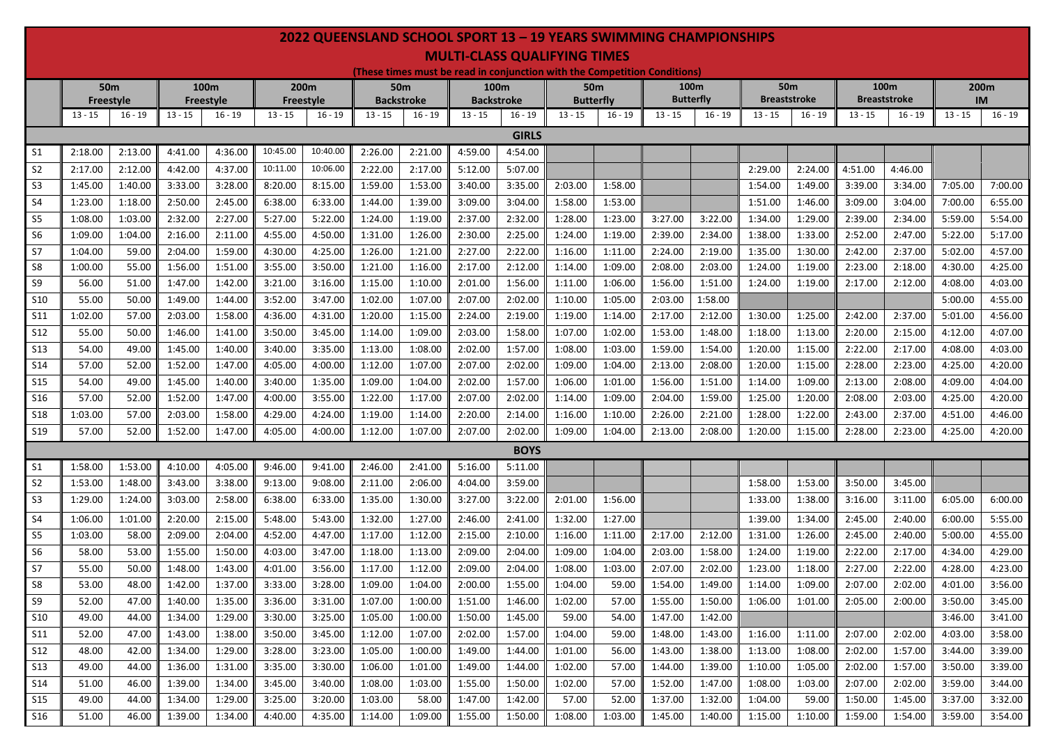## **2022 QUEENSLAND SCHOOL SPORT 13 – 19 YEARS SWIMMING CHAMPIONSHIPS MULTI-CLASS QUALIFYING TIMES**

**(These times must be read in conjunction with the Competition Conditions)**

|                 | <b>50m</b><br><b>Freestyle</b> |           | 100m<br><b>Freestyle</b> |           | 200m<br><b>Freestyle</b> |           | <b>50m</b><br><b>Backstroke</b> |           | 100m<br><b>Backstroke</b> |              | <b>50m</b><br><b>Butterfly</b> |           | 100 <sub>m</sub> |                  | <b>50m</b> |                     | 100m                |           | 200m      |           |
|-----------------|--------------------------------|-----------|--------------------------|-----------|--------------------------|-----------|---------------------------------|-----------|---------------------------|--------------|--------------------------------|-----------|------------------|------------------|------------|---------------------|---------------------|-----------|-----------|-----------|
|                 |                                |           |                          |           |                          |           |                                 |           |                           |              |                                |           |                  | <b>Butterfly</b> |            | <b>Breaststroke</b> | <b>Breaststroke</b> |           | <b>IM</b> |           |
|                 | $13 - 15$                      | $16 - 19$ | $13 - 15$                | $16 - 19$ | $13 - 15$                | $16 - 19$ | $13 - 15$                       | $16 - 19$ | $13 - 15$                 | $16 - 19$    | $13 - 15$                      | $16 - 19$ | $13 - 15$        | $16 - 19$        | $13 - 15$  | $16 - 19$           | $13 - 15$           | $16 - 19$ | $13 - 15$ | $16 - 19$ |
|                 |                                |           |                          |           |                          |           |                                 |           |                           | <b>GIRLS</b> |                                |           |                  |                  |            |                     |                     |           |           |           |
| S <sub>1</sub>  | 2:18.00                        | 2:13.00   | 4:41.00                  | 4:36.00   | 10:45.00                 | 10:40.00  | 2:26.00                         | 2:21.00   | 4:59.00                   | 4:54.00      |                                |           |                  |                  |            |                     |                     |           |           |           |
| S <sub>2</sub>  | 2:17.00                        | 2:12.00   | 4:42.00                  | 4:37.00   | 10:11.00                 | 10:06.00  | 2:22.00                         | 2:17.00   | 5:12.00                   | 5:07.00      |                                |           |                  |                  | 2:29.00    | 2:24.00             | 4:51.00             | 4:46.00   |           |           |
| S <sub>3</sub>  | 1:45.00                        | 1:40.00   | 3:33.00                  | 3:28.00   | 8:20.00                  | 8:15.00   | 1:59.00                         | 1:53.00   | 3:40.00                   | 3:35.00      | 2:03.00                        | 1:58.00   |                  |                  | 1:54.00    | 1:49.00             | 3:39.00             | 3:34.00   | 7:05.00   | 7:00.00   |
| S <sub>4</sub>  | 1:23.00                        | 1:18.00   | 2:50.00                  | 2:45.00   | 6:38.00                  | 6:33.00   | 1:44.00                         | 1:39.00   | 3:09.00                   | 3:04.00      | 1:58.00                        | 1:53.00   |                  |                  | 1:51.00    | 1:46.00             | 3:09.00             | 3:04.00   | 7:00.00   | 6:55.00   |
| S5              | 1:08.00                        | 1:03.00   | 2:32.00                  | 2:27.00   | 5:27.00                  | 5:22.00   | 1:24.00                         | 1:19.00   | 2:37.00                   | 2:32.00      | 1:28.00                        | 1:23.00   | 3:27.00          | 3:22.00          | 1:34.00    | 1:29.00             | 2:39.00             | 2:34.00   | 5:59.00   | 5:54.00   |
| S <sub>6</sub>  | 1:09.00                        | 1:04.00   | 2:16.00                  | 2:11.00   | 4:55.00                  | 4:50.00   | 1:31.00                         | 1:26.00   | 2:30.00                   | 2:25.00      | 1:24.00                        | 1:19.00   | 2:39.00          | 2:34.00          | 1:38.00    | 1:33.00             | 2:52.00             | 2:47.00   | 5:22.00   | 5:17.00   |
| S7              | 1:04.00                        | 59.00     | 2:04.00                  | 1:59.00   | 4:30.00                  | 4:25.00   | 1:26.00                         | 1:21.00   | 2:27.00                   | 2:22.00      | 1:16.00                        | 1:11.00   | 2:24.00          | 2:19.00          | 1:35.00    | 1:30.00             | 2:42.00             | 2:37.00   | 5:02.00   | 4:57.00   |
| S8              | 1:00.00                        | 55.00     | 1:56.00                  | 1:51.00   | 3:55.00                  | 3:50.00   | 1:21.00                         | 1:16.00   | 2:17.00                   | 2:12.00      | 1:14.00                        | 1:09.00   | 2:08.00          | 2:03.00          | 1:24.00    | 1:19.00             | 2:23.00             | 2:18.00   | 4:30.00   | 4:25.00   |
| S9              | 56.00                          | 51.00     | 1:47.00                  | 1:42.00   | 3:21.00                  | 3:16.00   | 1:15.00                         | 1:10.00   | 2:01.00                   | 1:56.00      | 1:11.00                        | 1:06.00   | 1:56.00          | 1:51.00          | 1:24.00    | 1:19.00             | 2:17.00             | 2:12.00   | 4:08.00   | 4:03.00   |
| S10             | 55.00                          | 50.00     | 1:49.00                  | 1:44.00   | 3:52.00                  | 3:47.00   | 1:02.00                         | 1:07.00   | 2:07.00                   | 2:02.00      | 1:10.00                        | 1:05.00   | 2:03.00          | 1:58.00          |            |                     |                     |           | 5:00.00   | 4:55.00   |
| <b>S11</b>      | 1:02.00                        | 57.00     | 2:03.00                  | 1:58.00   | 4:36.00                  | 4:31.00   | 1:20.00                         | 1:15.00   | 2:24.00                   | 2:19.00      | 1:19.00                        | 1:14.00   | 2:17.00          | 2:12.00          | 1:30.00    | 1:25.00             | 2:42.00             | 2:37.00   | 5:01.00   | 4:56.00   |
| S <sub>12</sub> | 55.00                          | 50.00     | 1:46.00                  | 1:41.00   | 3:50.00                  | 3:45.00   | 1:14.00                         | 1:09.00   | 2:03.00                   | 1:58.00      | 1:07.00                        | 1:02.00   | 1:53.00          | 1:48.00          | 1:18.00    | 1:13.00             | 2:20.00             | 2:15.00   | 4:12.00   | 4:07.00   |
| S <sub>13</sub> | 54.00                          | 49.00     | 1:45.00                  | 1:40.00   | 3:40.00                  | 3:35.00   | 1:13.00                         | 1:08.00   | 2:02.00                   | 1:57.00      | 1:08.00                        | 1:03.00   | 1:59.00          | 1:54.00          | 1:20.00    | 1:15.00             | 2:22.00             | 2:17.00   | 4:08.00   | 4:03.00   |
| <b>S14</b>      | 57.00                          | 52.00     | 1:52.00                  | 1:47.00   | 4:05.00                  | 4:00.00   | 1:12.00                         | 1:07.00   | 2:07.00                   | 2:02.00      | 1:09.00                        | 1:04.00   | 2:13.00          | 2:08.00          | 1:20.00    | 1:15.00             | 2:28.00             | 2:23.00   | 4:25.00   | 4:20.00   |
| <b>S15</b>      | 54.00                          | 49.00     | 1:45.00                  | 1:40.00   | 3:40.00                  | 1:35.00   | 1:09.00                         | 1:04.00   | 2:02.00                   | 1:57.00      | 1:06.00                        | 1:01.00   | 1:56.00          | 1:51.00          | 1:14.00    | 1:09.00             | 2:13.00             | 2:08.00   | 4:09.00   | 4:04.00   |
| S <sub>16</sub> | 57.00                          | 52.00     | 1:52.00                  | 1:47.00   | 4:00.00                  | 3:55.00   | 1:22.00                         | 1:17.00   | 2:07.00                   | 2:02.00      | 1:14.00                        | 1:09.00   | 2:04.00          | 1:59.00          | 1:25.00    | 1:20.00             | 2:08.00             | 2:03.00   | 4:25.00   | 4:20.00   |
| <b>S18</b>      | 1:03.00                        | 57.00     | 2:03.00                  | 1:58.00   | 4:29.00                  | 4:24.00   | 1:19.00                         | 1:14.00   | 2:20.00                   | 2:14.00      | 1:16.00                        | 1:10.00   | 2:26.00          | 2:21.00          | 1:28.00    | 1:22.00             | 2:43.00             | 2:37.00   | 4:51.00   | 4:46.00   |
| S <sub>19</sub> | 57.00                          | 52.00     | 1:52.00                  | 1:47.00   | 4:05.00                  | 4:00.00   | 1:12.00                         | 1:07.00   | 2:07.00                   | 2:02.00      | 1:09.00                        | 1:04.00   | 2:13.00          | 2:08.00          | 1:20.00    | 1:15.00             | 2:28.00             | 2:23.00   | 4:25.00   | 4:20.00   |
|                 |                                |           |                          |           |                          |           |                                 |           |                           | <b>BOYS</b>  |                                |           |                  |                  |            |                     |                     |           |           |           |
| S <sub>1</sub>  | 1:58.00                        | 1:53.00   | 4:10.00                  | 4:05.00   | 9:46.00                  | 9:41.00   | 2:46.00                         | 2:41.00   | 5:16.00                   | 5:11.00      |                                |           |                  |                  |            |                     |                     |           |           |           |
| S <sub>2</sub>  | 1:53.00                        | 1:48.00   | 3:43.00                  | 3:38.00   | 9:13.00                  | 9:08.00   | 2:11.00                         | 2:06.00   | 4:04.00                   | 3:59.00      |                                |           |                  |                  | 1:58.00    | 1:53.00             | 3:50.00             | 3:45.00   |           |           |
| S <sub>3</sub>  | 1:29.00                        | 1:24.00   | 3:03.00                  | 2:58.00   | 6:38.00                  | 6:33.00   | 1:35.00                         | 1:30.00   | 3:27.00                   | 3:22.00      | 2:01.00                        | 1:56.00   |                  |                  | 1:33.00    | 1:38.00             | 3:16.00             | 3:11.00   | 6:05.00   | 6:00.00   |
| S <sub>4</sub>  | 1:06.00                        | 1:01.00   | 2:20.00                  | 2:15.00   | 5:48.00                  | 5:43.00   | 1:32.00                         | 1:27.00   | 2:46.00                   | 2:41.00      | 1:32.00                        | 1:27.00   |                  |                  | 1:39.00    | 1:34.00             | 2:45.00             | 2:40.00   | 6:00.00   | 5:55.00   |
| S5              | 1:03.00                        | 58.00     | 2:09.00                  | 2:04.00   | 4:52.00                  | 4:47.00   | 1:17.00                         | 1:12.00   | 2:15.00                   | 2:10.00      | 1:16.00                        | 1:11.00   | 2:17.00          | 2:12.00          | 1:31.00    | 1:26.00             | 2:45.00             | 2:40.00   | 5:00.00   | 4:55.00   |
| S6              | 58.00                          | 53.00     | 1:55.00                  | 1:50.00   | 4:03.00                  | 3:47.00   | 1:18.00                         | 1:13.00   | 2:09.00                   | 2:04.00      | 1:09.00                        | 1:04.00   | 2:03.00          | 1:58.00          | 1:24.00    | 1:19.00             | 2:22.00             | 2:17.00   | 4:34.00   | 4:29.00   |
| <b>S7</b>       | 55.00                          | 50.00     | 1:48.00                  | 1:43.00   | 4:01.00                  | 3:56.00   | 1:17.00                         | 1:12.00   | 2:09.00                   | 2:04.00      | 1:08.00                        | 1:03.00   | 2:07.00          | 2:02.00          | 1:23.00    | 1:18.00             | 2:27.00             | 2:22.00   | 4:28.00   | 4:23.00   |
| S8              | 53.00                          | 48.00     | 1:42.00                  | 1:37.00   | 3:33.00                  | 3:28.00   | 1:09.00                         | 1:04.00   | 2:00.00                   | 1:55.00      | 1:04.00                        | 59.00     | 1:54.00          | 1:49.00          | 1:14.00    | 1:09.00             | 2:07.00             | 2:02.00   | 4:01.00   | 3:56.00   |
| S <sub>9</sub>  | 52.00                          | 47.00     | 1:40.00                  | 1:35.00   | 3:36.00                  | 3:31.00   | 1:07.00                         | 1:00.00   | 1:51.00                   | 1:46.00      | 1:02.00                        | 57.00     | 1:55.00          | 1:50.00          | 1:06.00    | 1:01.00             | 2:05.00             | 2:00.00   | 3:50.00   | 3:45.00   |
| S10             | 49.00                          | 44.00     | 1:34.00                  | 1:29.00   | 3:30.00                  | 3:25.00   | 1:05.00                         | 1:00.00   | 1:50.00                   | 1:45.00      | 59.00                          | 54.00     | 1:47.00          | 1:42.00          |            |                     |                     |           | 3:46.00   | 3:41.00   |
| S11             | 52.00                          | 47.00     | 1:43.00                  | 1:38.00   | 3:50.00                  | 3:45.00   | 1:12.00                         | 1:07.00   | 2:02.00                   | 1:57.00      | 1:04.00                        | 59.00     | 1:48.00          | 1:43.00          | 1:16.00    | 1:11.00             | 2:07.00             | 2:02.00   | 4:03.00   | 3:58.00   |
| S <sub>12</sub> | 48.00                          | 42.00     | 1:34.00                  | 1:29.00   | 3:28.00                  | 3:23.00   | 1:05.00                         | 1:00.00   | 1:49.00                   | 1:44.00      | 1:01.00                        | 56.00     | 1:43.00          | 1:38.00          | 1:13.00    | 1:08.00             | 2:02.00             | 1:57.00   | 3:44.00   | 3:39.00   |
| <b>S13</b>      | 49.00                          | 44.00     | 1:36.00                  | 1:31.00   | 3:35.00                  | 3:30.00   | 1:06.00                         | 1:01.00   | 1:49.00                   | 1:44.00      | 1:02.00                        | 57.00     | 1:44.00          | 1:39.00          | 1:10.00    | 1:05.00             | 2:02.00             | 1:57.00   | 3:50.00   | 3:39.00   |
| <b>S14</b>      | 51.00                          | 46.00     | 1:39.00                  | 1:34.00   | 3:45.00                  | 3:40.00   | 1:08.00                         | 1:03.00   | 1:55.00                   | 1:50.00      | 1:02.00                        | 57.00     | 1:52.00          | 1:47.00          | 1:08.00    | 1:03.00             | 2:07.00             | 2:02.00   | 3:59.00   | 3:44.00   |
| <b>S15</b>      | 49.00                          | 44.00     | 1:34.00                  | 1:29.00   | 3:25.00                  | 3:20.00   | 1:03.00                         | 58.00     | 1:47.00                   | 1:42.00      | 57.00                          | 52.00     | 1:37.00          | 1:32.00          | 1:04.00    | 59.00               | 1:50.00             | 1:45.00   | 3:37.00   | 3:32.00   |
| S16             | 51.00                          | 46.00     | 1:39.00                  | 1:34.00   | 4:40.00                  | 4:35.00   | 1:14.00                         | 1:09.00   | 1:55.00                   | 1:50.00      | 1:08.00                        | 1:03.00   | 1:45.00          | 1:40.00          | 1:15.00    | 1:10.00             | 1:59.00             | 1:54.00   | 3:59.00   | 3:54.00   |